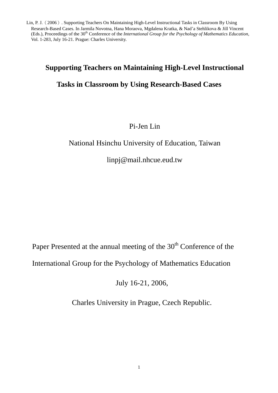# **Supporting Teachers on Maintaining High-Level Instructional**

# **Tasks in Classroom by Using Research-Based Cases**

# Pi-Jen Lin

# National Hsinchu University of Education, Taiwan

linpj@mail.nhcue.eud.tw

Paper Presented at the annual meeting of the 30<sup>th</sup> Conference of the

International Group for the Psychology of Mathematics Education

July 16-21, 2006,

Charles University in Prague, Czech Republic.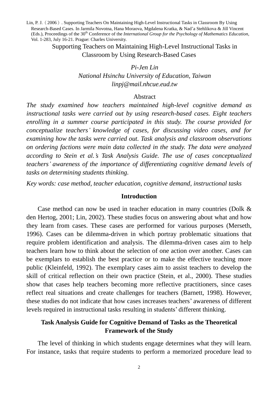> Supporting Teachers on Maintaining High-Level Instructional Tasks in Classroom by Using Research-Based Cases

## *Pi-Jen Lin National Hsinchu University of Education, Taiwan linpj@mail.nhcue.eud.tw*

#### Abstract

*The study examined how teachers maintained high-level cognitive demand as instructional tasks were carried out by using research-based cases. Eight teachers enrolling in a summer course participated in this study. The course provided for conceptualize teachers'knowledge of cases, for discussing video cases, and for examining how the tasks were carried out. Task analysis and classroom observations on ordering factions were main data collected in the study. The data were analyzed according to Stein et al.'s Task Analysis Guide. The use of cases conceptualized teachers'awareness of the importance of differentiating cognitive demand levels of tasks on determining students thinking.*

*Key words: case method, teacher education, cognitive demand, instructional tasks*

#### **Introduction**

Case method can now be used in teacher education in many countries (Dolk & den Hertog, 2001; Lin, 2002). These studies focus on answering about what and how they learn from cases. These cases are performed for various purposes (Merseth, 1996). Cases can be dilemma-driven in which portray problematic situations that require problem identification and analysis. The dilemma-driven cases aim to help teachers learn how to think about the selection of one action over another. Cases can be exemplars to establish the best practice or to make the effective teaching more public (Kleinfeld, 1992). The exemplary cases aim to assist teachers to develop the skill of critical reflection on their own practice (Stein, et al., 2000). These studies show that cases help teachers becoming more reflective practitioners, since cases reflect real situations and create challenges for teachers (Barnett, 1998). However, these studies do not indicate that how cases increases teachers'awareness of different levels required in instructional tasks resulting in students'different thinking.

### **Task Analysis Guide for Cognitive Demand of Tasks as the Theoretical Framework of the Study**

The level of thinking in which students engage determines what they will learn. For instance, tasks that require students to perform a memorized procedure lead to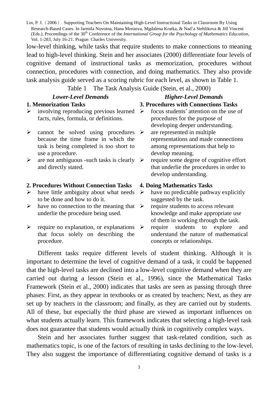low-level thinking, while tasks that require students to make connections to meaning lead to high-level thinking. Stein and her associates (2000) differentiate four levels of cognitive demand of instructional tasks as memorization, procedures without connection, procedures with connection, and doing mathematics. They also provide task analysis guide served as a scoring rubric for each level, as shown in Table 1.

Table 1 The Task Analysis Guide (Stein, et al., 2000)

# *Lower-Level Demands Higher-Level Demands*

# **1. Memorization Tasks 3. Procedures with Connections Tasks**

- $\triangleright$  involving reproducing previous learned  $\triangleright$ facts, rules, formula, or definitions.
- $\triangleright$  cannot be solved using procedures  $\triangleright$ because the time frame in which the task is being completed is too short to use a procedure.
- $\triangleright$  are not ambiguous -such tasks is clearly  $\triangleright$ and directly stated.

#### **2. Procedures Without Connection Tasks 4. Doing Mathematics Tasks**

- $\triangleright$  have little ambiguity about what needs to be done and how to do it.
- $\triangleright$  have no connection to the meaning that  $\triangleright$ underlie the procedure being used.
- $\triangleright$  require no explanation, or explanations  $\triangleright$ that focus solely on describing the procedure.
- focus students'attention on the use of procedures for the purpose of developing deeper understanding.
- are represented in multiple representations and made connections among representations that help to develop meaning.
- require some degree of cognitive effort that underlie the procedures in order to develop understanding.

- $\triangleright$  have no predictable pathway explicitly suggested by the task.
- require students to access relevant knowledge and make appropriate use of them in working through the task.
- require students to explore and understand the nature of mathematical concepts or relationships.

Different tasks require different levels of student thinking. Although it is important to determine the level of cognitive demand of a task, it could be happened that the high-level tasks are declined into a low-level cognitive demand when they are carried out during a lesson (Stein et al., 1996), since the Mathematical Tasks Framework (Stein et al., 2000) indicates that tasks are seen as passing through three phases: First, as they appear in textbooks or as created by teachers; Next, as they are set up by teachers in the classroom; and finally, as they are carried out by students. All of these, but especially the third phase are viewed as important influences on what students actually learn. This framework indicates that selecting a high-level task does not guarantee that students would actually think in cognitively complex ways.

Stein and her associates further suggest that task-related condition, such as mathematics topic, is one of the factors of resulting in tasks declining to the low-level. They also suggest the importance of differentiating cognitive demand of tasks is a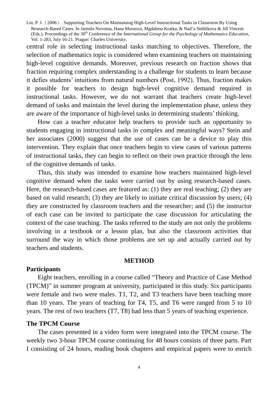central role in selecting instructional tasks matching to objectives. Therefore, the selection of mathematics topic is considered when examining teachers on maintaining high-level cognitive demands. Moreover, previous research on fraction shows that fraction requiring complex understanding is a challenge for students to learn because it defies students' intuitions from natural numbers (Post, 1992). Thus, fraction makes it possible for teachers to design high-level cognitive demand required in instructional tasks. However, we do not warrant that teachers create high-level demand of tasks and maintain the level during the implementation phase, unless they are aware of the importance of high-level tasks in determining students'thinking.

How can a teacher educator help teachers to provide such an opportunity to students engaging in instructional tasks in complex and meaningful ways? Stein and her associates (2000) suggest that the use of cases can be a device to play this intervention. They explain that once teachers begin to view cases of various patterns of instructional tasks, they can begin to reflect on their own practice through the lens of the cognitive demands of tasks.

Thus, this study was intended to examine how teachers maintained high-level cognitive demand when the tasks were carried out by using research-based cases. Here, the research-based cases are featured as: (1) they are real teaching; (2) they are based on valid research; (3) they are likely to initiate critical discussion by users; (4) they are constructed by classroom teachers and the researcher; and (5) the instructor of each case can be invited to participate the case discussion for articulating the context of the case teaching. The tasks referred to the study are not only the problems involving in a textbook or a lesson plan, but also the classroom activities that surround the way in which those problems are set up and actually carried out by teachers and students.

#### **METHOD**

#### **Participants**

Eight teachers, enrolling in a course called "Theory and Practice of Case Method (TPCM)"in summer program at university, participated in this study. Six participants were female and two were males. T1, T2, and T3 teachers have been teaching more than 10 years. The years of teaching for T4, T5, and T6 were ranged from 5 to 10 years. The rest of two teachers (T7, T8) had less than 5 years of teaching experience.

#### **The TPCM Course**

The cases presented in a video form were integrated into the TPCM course. The weekly two 3-hour TPCM course continuing for 48 hours consists of three parts. Part I consisting of 24 hours, reading book chapters and empirical papers were to enrich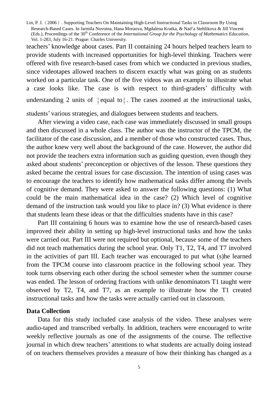teachers'knowledge about cases. Part II containing 24 hours helped teachers learn to provide students with increased opportunities for high-level thinking. Teachers were offered with five research-based cases from which we conducted in previous studies, since videotapes allowed teachers to discern exactly what was going on as students worked on a particular task. One of the five videos was an example to illustrate what a case looks like. The case is with respect to third-graders' difficulty with understanding 2 units of  $\frac{1}{7}$  equal to  $\frac{2}{7}$ . T  $\frac{2}{7}$ . The cases zoomed at the instructional tasks,

students'various strategies, and dialogues between students and teachers.

After viewing a video case, each case was immediately discussed in small groups and then discussed in a whole class. The author was the instructor of the TPCM, the facilitator of the case discussion, and a member of those who constructed cases. Thus, the author knew very well about the background of the case. However, the author did not provide the teachers extra information such as guiding question, even though they asked about students'preconception or objectives of the lesson. These questions they asked became the central issues for case discussion. The intention of using cases was to encourage the teachers to identify how mathematical tasks differ among the levels of cognitive demand. They were asked to answer the following questions: (1) What could be the main mathematical idea in the case? (2) Which level of cognitive demand of the instruction task would you like to place in? (3) What evidence is there that students learn these ideas or that the difficulties students have in this case?

Part III containing 6 hours was to examine how the use of research-based cases improved their ability in setting up high-level instructional tasks and how the tasks were carried out. Part III were not required but optional, because some of the teachers did not teach mathematics during the school year. Only T1, T2, T4, and T7 involved in the activities of part III. Each teacher was encouraged to put what (s)he learned from the TPCM course into classroom practice in the following school year. They took turns observing each other during the school semester when the summer course was ended. The lesson of ordering fractions with unlike denominators T1 taught were observed by T2, T4, and T7, as an example to illustrate how the T1 created instructional tasks and how the tasks were actually carried out in classroom.

#### **Data Collection**

Data for this study included case analysis of the video. These analyses were audio-taped and transcribed verbally. In addition, teachers were encouraged to write weekly reflective journals as one of the assignments of the course. The reflective journal in which drew teachers'attentions to what students are actually doing instead of on teachers themselves provides a measure of how their thinking has changed as a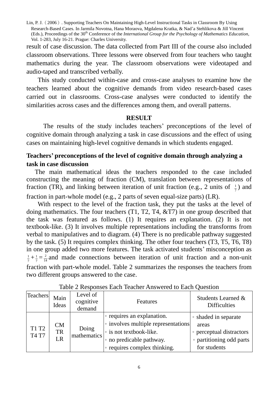result of case discussion. The data collected from Part III of the course also included classroom observations. Three lessons were observed from four teachers who taught mathematics during the year. The classroom observations were videotaped and audio-taped and transcribed verbally.

This study conducted within-case and cross-case analyses to examine how the teachers learned about the cognitive demands from video research-based cases carried out in classrooms. Cross-case analyses were conducted to identify the similarities across cases and the differences among them, and overall patterns.

#### **RESULT**

The results of the study includes teachers'preconceptions of the level of cognitive domain through analyzing a task in case discussions and the effect of using cases on maintaining high-level cognitive demands in which students engaged.

# **Teachers'preconceptions of the level of cognitive domain through analyzing a task in case discussion**

The main mathematical ideas the teachers responded to the case included constructing the meaning of fraction (CM), translation between representations of fraction (TR), and linking between iteration of unit fraction (e.g., 2 units of  $\frac{1}{7}$ )  $\frac{1}{2}$ ) and

fraction in part-whole model (e.g., 2 parts of seven equal-size parts) (LR).

With respect to the level of the fraction task, they put the tasks at the level of doing mathematics. The four teachers (T1, T2, T4, &T7) in one group described that the task was featured as follows. (1) It requires an explanation. (2) It is not textbook-like. (3) It involves multiple representations including the transforms from verbal to manipulatives and to diagram. (4) There is no predicable pathway suggested by the task. (5) It requires complex thinking. The other four teachers (T3, T5, T6, T8) in one group added two more features. The task activated students'misconception as  $\frac{1}{7} + \frac{1}{7} = \frac{2}{14}$  and made connections between iteration of unit fraction and a non-unit fraction with part-whole model. Table 2 summarizes the responses the teachers from two different groups answered to the case.

| Teachers              | Main<br>Ideas         | Level of<br>cognitive<br>demand | Features                                                                                                                                                       | Students Learned &<br><b>Difficulties</b>                                                             |
|-----------------------|-----------------------|---------------------------------|----------------------------------------------------------------------------------------------------------------------------------------------------------------|-------------------------------------------------------------------------------------------------------|
| T1 T2<br><b>T4 T7</b> | CM<br><b>TR</b><br>LR | Doing<br>mathematics            | • requires an explanation.<br>• involves multiple representations<br>$\cdot$ is not textbook-like.<br>• no predicable pathway.<br>• requires complex thinking. | • shaded in separate<br>areas<br>• perceptual distractors<br>• partitioning odd parts<br>for students |

Table 2 Responses Each Teacher Answered to Each Question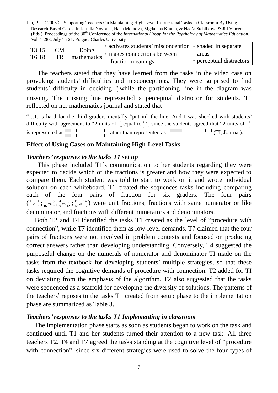Lin, P. J.(2006). Supporting Teachers On Maintaining High-Level Instructional Tasks in Classroom By Using Research-Based Cases. In Jarmila Novotna, Hana Moraova, Mgdalena Kratka, & Nad'a Stehlikova & Jill Vincent (Eds.), Proceedings of the 30<sup>th</sup> Conference of the *International Group for the Psychology of Mathematics Education*, Vol. 1-283, July 16-21. Prague: Charles University.

| T3 T5 | <b>CM</b><br>TR | Doing<br>mathematics | $\circ$ activates students' misconception $\circ$ shaded in separate |                          |
|-------|-----------------|----------------------|----------------------------------------------------------------------|--------------------------|
| T6 T8 |                 |                      | $\cdot$ makes connections between                                    | areas                    |
|       |                 |                      | fraction meanings                                                    | • perceptual distractors |

The teachers stated that they have learned from the tasks in the video case on provoking students'difficulties and misconceptions. They were surprised to find students' difficulty in deciding  $\frac{2}{7}$  while the partitioning line in the diagram was missing. The missing line represented a perceptual distractor for students. T1 reflected on her mathematics journal and stated that

"...It is hard for the third graders mentally "put in" the line. And I was shocked with students' difficulty with agreement to "2 units of  $\frac{1}{7}$  e  $\frac{1}{7}$  equal to  $\frac{2}{7}$ ", since the students agreed that "2 units of  $\frac{1}{7}$ 1 is represented as  $\frac{1}{\sqrt{1+\frac{1}{\sqrt{1+\frac{1}{\sqrt{1+\frac{1}{\sqrt{1+\frac{1}{\sqrt{1+\frac{1}{\sqrt{1+\frac{1}{\sqrt{1+\frac{1}{\sqrt{1+\frac{1}{\sqrt{1+\frac{1}{\sqrt{1+\frac{1}{\sqrt{1+\frac{1}{\sqrt{1+\frac{1}{\sqrt{1+\frac{1}{\sqrt{1+\frac{1}{\sqrt{1+\frac{1}{\sqrt{1+\frac{1}{\sqrt{1+\frac{1}{\sqrt{1+\frac{1}{\sqrt{1+\frac{1}{\sqrt{1+\frac{1}{\sqrt{1+\frac{1}{\sqrt{1+\frac{1$ 

#### **Effect of Using Cases on Maintaining High-Level Tasks**

#### *Teachers'responses to the tasks T1 set up*

This phase included T1's communication to her students regarding they were expected to decide which of the fractions is greater and how they were expected to compare them. Each student was told to start to work on it and wrote individual solution on each whiteboard. T1 created the sequences tasks including comparing each of the four pairs of fraction for six graders. The four pairs  $\left(\frac{1}{5} \nu s.\frac{1}{7}\right)$  $\frac{1}{5}$  vs.  $\frac{1}{7}$  $\frac{1}{5}$  vs.  $\frac{1}{7}$  ;  $\frac{5}{16}$  vs.  $\frac{5}{9}$  $rac{5}{16}$  vs.  $rac{5}{9}$  $rac{5}{16}$  vs.  $rac{5}{9}$  ;  $rac{4}{9}$  vs.  $rac{8}{12}$  $\frac{4}{9}$  vs.  $\frac{8}{12}$  $\frac{4}{9}$  vs.  $\frac{8}{12}$  ;  $\frac{11}{12}$  vs.  $\frac{14}{15}$  $\frac{11}{12}$  vs.  $\frac{14}{15}$  $\frac{11}{12}$  were unit fractions, fractions with same numerator or like denominator, and fractions with different numerators and denominators.

Both T2 and T4 identified the tasks T1 created as the level of "procedure with connection", while T7 identified them as low-level demands. T7 claimed that the four pairs of fractions were not involved in problem contexts and focused on producing correct answers rather than developing understanding. Conversely, T4 suggested the purposeful change on the numerals of numerator and denominator TI made on the tasks from the textbook for developing students'multiple strategies, so that these tasks required the cognitive demands of procedure with connection. T2 added for TI on deviating from the emphasis of the algorithm. T2 also suggested that the tasks were sequenced as a scaffold for developing the diversity of solutions. The patterns of the teachers'reposes to the tasks T1 created from setup phase to the implementation phase are summarized as Table 3.

#### *Teachers'responses to the tasks T1 Implementing in classroom*

The implementation phase starts as soon as students began to work on the task and continued until T1 and her students turned their attention to a new task. All three teachers T2, T4 and T7 agreed the tasks standing at the cognitive level of "procedure with connection", since six different strategies were used to solve the four types of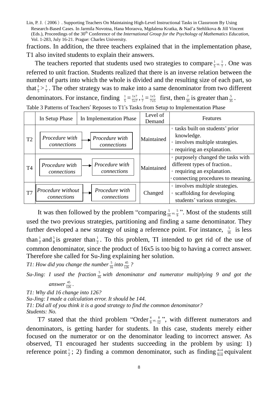fractions. In addition, the three teachers explained that in the implementation phase, T1 also invited students to explain their answers.

The teachers reported that students used two strategies to compare  $\frac{1}{5}$ <sub>vs.</sub>  $\frac{1}{7}$  $\frac{1}{5}$  vs.  $\frac{1}{7}$ . One was referred to unit fraction. Students realized that there is an inverse relation between the number of parts into which the whole is divided and the resulting size of each part, so that  $\frac{1}{5} > \frac{1}{7}$ . The other strategy was to make into a same denominator from two different denominators. For instance, finding  $\frac{1}{5} = \frac{1}{5x7}$ *x*  $\frac{x}{x^7}, \frac{1}{7} = \frac{1 \times 5}{7 \times 5}$ *x*  $\frac{x5}{x5}$  first, then  $\frac{7}{35}$  is greater than  $\frac{5}{35}$ .

Table 3 Patterns of Teachers' Reposes to T1's Tasks from Setup to Implementation Phase

|                | In Setup Phase                   | In Implementation Phase       | Level of<br>Demand | Features                                                                                                                                |
|----------------|----------------------------------|-------------------------------|--------------------|-----------------------------------------------------------------------------------------------------------------------------------------|
| T <sub>2</sub> | Procedure with<br>connections    | Procedure with<br>connections | Maintained         | • tasks built on students' prior<br>knowledge.<br>• involves multiple strategies.<br>• requiring an explanation.                        |
| <b>T4</b>      | Procedure with<br>connections    | Procedure with<br>connections | Maintained         | • purposely changed the tasks with<br>different types of fraction<br>• requiring an explanation.<br>• connecting procedures to meaning. |
| T7             | Procedure without<br>connections | Procedure with<br>connections | Changed            | • involves multiple strategies.<br>• scaffolding for developing<br>students' various strategies.                                        |

It was then followed by the problem "comparing  $\frac{5}{16}$  vs.  $\frac{5}{9}$  $\frac{5}{16}$  vs.  $\frac{5}{9}$  ". Most of the students still used the two previous strategies, partitioning and finding a same denominator. They further developed a new strategy of using a reference point. For instance,  $\frac{5}{16}$  is less than  $\frac{1}{2}$  and  $\frac{5}{9}$  is greater than  $\frac{1}{2}$ . To this problem, TI intended to get rid of the use of common denominator, since the product of 16x5 is too big to having a correct answer. Therefore she called for Su-Jing explaining her solution.

*T1: How did you change the number*  $\frac{5}{16}$  *into*  $\frac{45}{126}$  *?* 

Su-Jing: I used the fraction  $\frac{5}{16}$  with denominator and numerator multiplying 9 and got the answer  $\frac{45}{126}$ .

*T1: Why did 16 change into 126? Su-Jing: I made a calculation error. It should be 144. T1: Did all of you think it is a good strategy to find the common denominator? Students: No.*

T7 stated that the third problem "Order  $\frac{4}{9}$  vs.  $\frac{8}{12}$  $\frac{4}{9}$  vs.  $\frac{8}{12}$  ", with different numerators and denominators, is getting harder for students. In this case, students merely either focused on the numerator or on the denominator leading to incorrect answer. As observed, T1 encouraged her students succeeding in the problem by using: 1) reference point  $\frac{1}{2}$ ; 2) finding a common denominator, such as finding  $\frac{4x4}{9x4}$ *x*  $\frac{x^4}{x^4}$  equivalent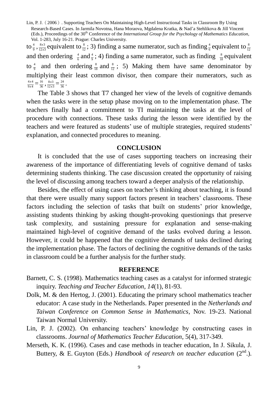to  $\frac{4}{9}, \frac{8x3}{12x3}$  $8x3$ *x*  $\frac{x^3}{x^3}$  equivalent to  $\frac{8}{12}$ ; 3) finding a same numerator, such as finding  $\frac{4}{6}$  equivalent to  $\frac{8}{12}$ and then ordering  $\frac{4}{6}$  and  $\frac{4}{9}$ ; 4) finding a same numerator, such as finding  $\frac{8}{18}$  equivalent to  $\frac{4}{9}$  and then ordering  $\frac{8}{18}$  and  $\frac{8}{12}$ ; 5) Making them have same denominator by multiplying their least common divisor, then compare their numerators, such as  $9x4$  $4x4$  $\frac{x^4}{x^4} = \frac{16}{36}, \frac{8x^3}{12x^3}$  $8x3$  $\frac{x^3}{(x^3)} = \frac{24}{36}$ .

The Table 3 shows that T7 changed her view of the levels of cognitive demands when the tasks were in the setup phase moving on to the implementation phase. The teachers finally had a commitment to TI maintaining the tasks at the level of procedure with connections. These tasks during the lesson were identified by the teachers and were featured as students' use of multiple strategies, required students' explanation, and connected procedures to meaning.

#### **CONCLUSION**

It is concluded that the use of cases supporting teachers on increasing their awareness of the importance of differentiating levels of cognitive demand of tasks determining students thinking. The case discussion created the opportunity of raising the level of discussing among teachers toward a deeper analysis of the relationship.

Besides, the effect of using cases on teacher's thinking about teaching, it is found that there were usually many support factors present in teachers'classrooms. These factors including the selection of tasks that built on students'prior knowledge, assisting students thinking by asking thought-provoking questionings that preserve task complexity, and sustaining pressure for explanation and sense-making maintained high-level of cognitive demand of the tasks evolved during a lesson. However, it could be happened that the cognitive demands of tasks declined during the implementation phase. The factors of declining the cognitive demands of the tasks in classroom could be a further analysis for the further study.

#### **REFERENCE**

- Barnett, C. S. (1998). Mathematics teaching cases as a catalyst for informed strategic inquiry. *Teaching and Teacher Education, 14*(1), 81-93.
- Dolk, M. & den Hertog, J. (2001). Educating the primary school mathematics teacher educator: A case study in the Netherlands. Paper presented in the *Netherlands and Taiwan Conference on Common Sense in Mathematics*, Nov. 19-23. National Taiwan Normal University.
- Lin, P. J. (2002). On enhancing teachers' knowledge by constructing cases in classrooms. *Journal of Mathematics Teacher Education*, 5(4), 317-349.
- Merseth, K. K. (1996). Cases and case methods in teacher education, In J. Sikula, J. Buttery, & E. Guyton (Eds.) *Handbook of research on teacher education* (2<sup>nd</sup>.).